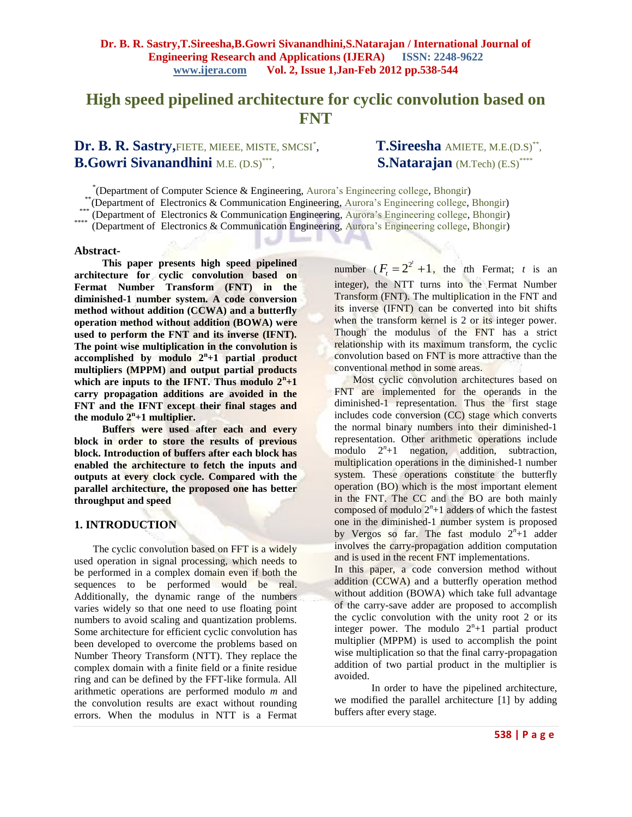# **High speed pipelined architecture for cyclic convolution based on FNT**

## Dr. B. R. Sastry, FIETE, MIEEE, MISTE, SMCSI<sup>\*</sup>, **B.Gowri Sivanandhini** M.E. (D.S) \*\*\*

, **T.Sireesha** AMIETE, M.E.(D.S)\*\* , , **S.Natarajan** (M.Tech) (E.S)\*\*\*\*

\* (Department of Computer Science & Engineering, Aurora's Engineering college, Bhongir)

ti.

<sup>\*</sup>(Department of Electronics & Communication Engineering, Aurora's Engineering college, Bhongir)

(Department of Electronics & Communication Engineering, Aurora's Engineering college, Bhongir)

\*\*\*\* (Department of Electronics & Communication Engineering, Aurora's Engineering college, Bhongir)

or III

w

#### **Abstract-**

**This paper presents high speed pipelined architecture for cyclic convolution based on Fermat Number Transform (FNT) in the diminished-1 number system. A code conversion method without addition (CCWA) and a butterfly operation method without addition (BOWA) were used to perform the FNT and its inverse (IFNT). The point wise multiplication in the convolution is accomplished by modulo 2<sup>n</sup> +1 partial product multipliers (MPPM) and output partial products**  which are inputs to the **IFNT**. Thus modulo  $2^n + 1$ **carry propagation additions are avoided in the FNT and the IFNT except their final stages and the modulo 2<sup>n</sup> +1 multiplier.**

**Buffers were used after each and every block in order to store the results of previous block. Introduction of buffers after each block has enabled the architecture to fetch the inputs and outputs at every clock cycle. Compared with the parallel architecture, the proposed one has better throughput and speed**

### **1. INTRODUCTION**

The cyclic convolution based on FFT is a widely used operation in signal processing, which needs to be performed in a complex domain even if both the sequences to be performed would be real. Additionally, the dynamic range of the numbers varies widely so that one need to use floating point numbers to avoid scaling and quantization problems. Some architecture for efficient cyclic convolution has been developed to overcome the problems based on Number Theory Transform (NTT). They replace the complex domain with a finite field or a finite residue ring and can be defined by the FFT-like formula. All arithmetic operations are performed modulo *m* and the convolution results are exact without rounding errors. When the modulus in NTT is a Fermat

number  $(F_t = 2^{2^t} + 1)$ , the *t*th Fermat; *t* is an integer), the NTT turns into the Fermat Number Transform (FNT). The multiplication in the FNT and its inverse (IFNT) can be converted into bit shifts when the transform kernel is 2 or its integer power. Though the modulus of the FNT has a strict relationship with its maximum transform, the cyclic convolution based on FNT is more attractive than the conventional method in some areas.

Most cyclic convolution architectures based on FNT are implemented for the operands in the diminished-1 representation. Thus the first stage includes code conversion (CC) stage which converts the normal binary numbers into their diminished-1 representation. Other arithmetic operations include modulo  $2^n+1$  negation, addition, subtraction, multiplication operations in the diminished-1 number system. These operations constitute the butterfly operation (BO) which is the most important element in the FNT. The CC and the BO are both mainly composed of modulo  $2^n+1$  adders of which the fastest one in the diminished-1 number system is proposed by Vergos so far. The fast modulo 2*<sup>n</sup>* +1 adder involves the carry-propagation addition computation and is used in the recent FNT implementations.

In this paper, a code conversion method without addition (CCWA) and a butterfly operation method without addition (BOWA) which take full advantage of the carry-save adder are proposed to accomplish the cyclic convolution with the unity root 2 or its integer power. The modulo  $2^{n}+1$  partial product multiplier (MPPM) is used to accomplish the point wise multiplication so that the final carry-propagation addition of two partial product in the multiplier is avoided.

In order to have the pipelined architecture, we modified the parallel architecture [1] by adding buffers after every stage.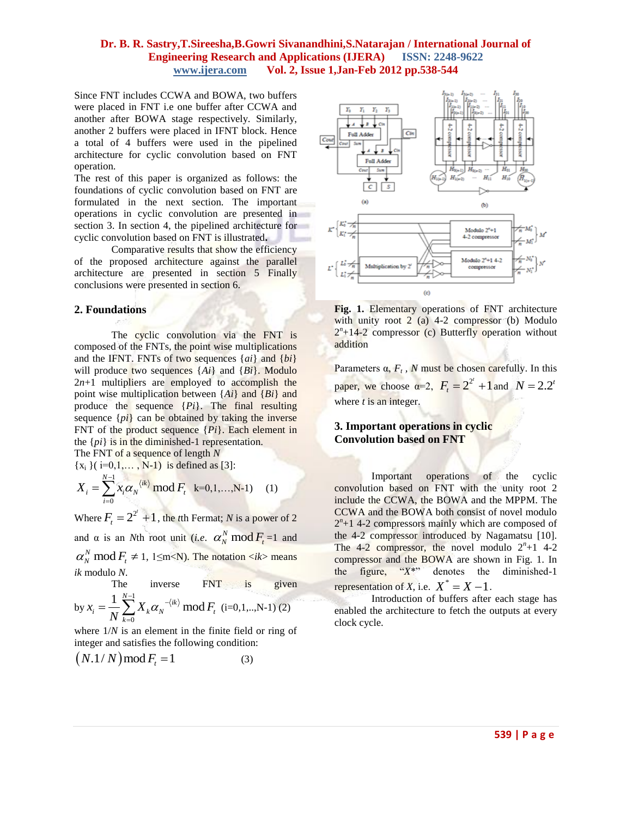Since FNT includes CCWA and BOWA, two buffers were placed in FNT i.e one buffer after CCWA and another after BOWA stage respectively. Similarly, another 2 buffers were placed in IFNT block. Hence a total of 4 buffers were used in the pipelined architecture for cyclic convolution based on FNT operation.

The rest of this paper is organized as follows: the foundations of cyclic convolution based on FNT are formulated in the next section. The important operations in cyclic convolution are presented in section 3. In section 4, the pipelined architecture for cyclic convolution based on FNT is illustrated**.**

Comparative results that show the efficiency of the proposed architecture against the parallel architecture are presented in section 5 Finally conclusions were presented in section 6.

#### **2. Foundations**

The cyclic convolution via the FNT is composed of the FNTs, the point wise multiplications and the IFNT. FNTs of two sequences {*ai*} and {*bi*} will produce two sequences {*Ai*} and {*Bi*}. Modulo  $2n+1$  multipliers are employed to accomplish the point wise multiplication between {*Ai*} and {*Bi*} and produce the sequence {*Pi*}. The final resulting sequence  $\{pi\}$  can be obtained by taking the inverse FNT of the product sequence {*Pi*}. Each element in the {*pi*} is in the diminished-1 representation.

The FNT of a sequence of length *N*

 ${x_i } (i=0,1,..., N-1)$  is defined as [3]:

$$
X_i = \sum_{i=0}^{N-1} x_i \alpha_N^{\langle ik \rangle} \mod F_i \quad k=0,1,\dots,N-1)
$$
 (1)

Where  $F_t = 2^{2^t} + 1$ , the *t*th Fermat; *N* is a power of 2 and  $\alpha$  is an *N*th root unit (*i.e.*  $\alpha_N^N \bmod F_t = 1$  and

 $\alpha_N^N \mod F_t \neq 1$ , 1 ≤m < N). The notation <*ik* > means *ik* modulo *N*.

The inverse **ENT** is given  
by 
$$
x_i = \frac{1}{N} \sum_{k=0}^{N-1} X_k \alpha_N^{-\langle ik \rangle} \mod F_t
$$
 (i=0,1,...,N-1) (2)

where  $1/N$  is an element in the finite field or ring of integer and satisfies the following condition:

$$
(N.1/N) \operatorname{mod} F_t = 1 \tag{3}
$$



**Fig. 1.** Elementary operations of FNT architecture with unity root 2 (a) 4-2 compressor (b) Modulo  $2^n + 14 - 2$  compressor (c) Butterfly operation without addition

Parameters α, *F<sup>t</sup> , N* must be chosen carefully. In this paper, we choose  $\alpha=2$ ,  $F_t = 2^{2^t} + 1$  and  $N = 2 \cdot 2^t$ where *t* is an integer.

## **3. Important operations in cyclic Convolution based on FNT**

Important operations of the cyclic convolution based on FNT with the unity root 2 include the CCWA, the BOWA and the MPPM. The CCWA and the BOWA both consist of novel modulo  $2<sup>n</sup> + 1$  4-2 compressors mainly which are composed of the 4-2 compressor introduced by Nagamatsu [10]. The  $4-2$  compressor, the novel modulo  $2^n+1$  4-2 compressor and the BOWA are shown in Fig. 1. In the figure, "*X*\*" denotes the diminished-1 representation of *X*, i.e.  $X^* = X - 1$ .

Introduction of buffers after each stage has enabled the architecture to fetch the outputs at every clock cycle.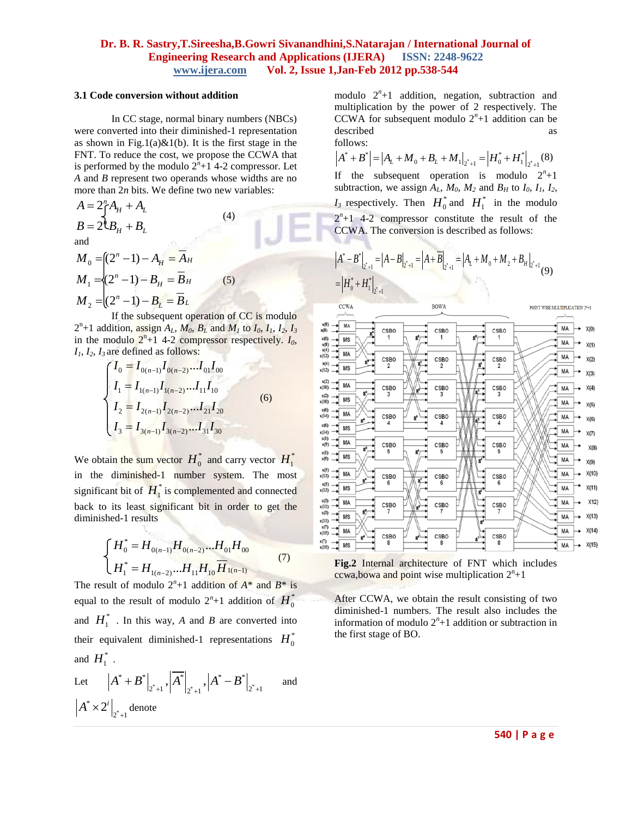#### **3.1 Code conversion without addition**

In CC stage, normal binary numbers (NBCs) were converted into their diminished-1 representation as shown in Fig.1(a) $&81(b)$ . It is the first stage in the FNT. To reduce the cost, we propose the CCWA that is performed by the modulo  $2<sup>n</sup>+1$  4-2 compressor. Let *A* and *B* represent two operands whose widths are no more than 2*n* bits. We define two new variables:

$$
A = 2\int_{1}^{n} A_{H} + A_{L}
$$
  
\n
$$
B = 2\int_{1}^{n} B_{H} + B_{L}
$$
  
\nand  
\n
$$
M_{0} = [(2^{n} - 1) - A_{H}] = A_{H}
$$
  
\n
$$
M_{1} = (2^{n} - 1) - B_{H} = B_{H}
$$
\n(5)

$$
M_2 = (2^n - 1) - B_L = \overline{B}_L
$$

If the subsequent operation of CC is modulo  $2^{n}+1$  addition, assign  $A_L$ ,  $M_0$ ,  $B_L$  and  $M_I$  to  $I_0$ ,  $I_1$ ,  $I_2$ ,  $I_3$ in the modulo  $2^n + 1$  4-2 compressor respectively.  $I_0$ ,

$$
I_1, I_2, I_3 \text{ are defined as follows:}
$$
\n
$$
\begin{cases}\nI_0 = I_{0(n-1)} I_{0(n-2)} ... I_{01} I_{00} \\
I_1 = I_{1(n-1)} I_{1(n-2)} ... I_{11} I_{10} \\
I_2 = I_{2(n-1)} I_{2(n-2)} ... I_{21} I_{20} \\
I_3 = I_{3(n-1)} I_{3(n-2)} ... I_{31} I_{30}\n\end{cases}
$$
\n(6)

We obtain the sum vector  $H_0^*$  and carry vector  $H_1^*$ in the diminished-1 number system. The most significant bit of  $H_1^*$  is complemented and connected back to its least significant bit in order to get the diminished-1 results

$$
\begin{cases}\n H_0^* = H_{0(n-1)} H_{0(n-2)} ... H_{01} H_{00} \\
 H_1^* = H_{1(n-2)} ... H_{11} H_{10} \overline{H}_{1(n-1)}\n\end{cases} (7)
$$

The result of modulo  $2^n+1$  addition of  $A^*$  and  $B^*$  is equal to the result of modulo  $2^n+1$  addition of  $\overline{H}_0^*$ and  $H_1^*$ . In this way, *A* and *B* are converted into their equivalent diminished-1 representations  $H_0^*$ and  $H_1^*$ .

Let 
$$
|A^* + B^*|_{2^*+1}
$$
,  $|A^*|_{2^*+1}$ ,  $|A^* - B^*|_{2^*+1}$  and  
 $|A^* \times 2^i|_{2^*+1}$  denote

modulo 2*<sup>n</sup>* +1 addition, negation, subtraction and multiplication by the power of 2 respectively. The CCWA for subsequent modulo  $2<sup>n</sup>+1$  addition can be described as a series as  $\alpha$  as  $\alpha$  as  $\alpha$  as  $\alpha$  as  $\alpha$  as  $\alpha$  as  $\alpha$  as  $\alpha$  as  $\alpha$  as  $\alpha$  as  $\alpha$  as  $\alpha$  as  $\alpha$  as  $\alpha$  as  $\alpha$  as  $\alpha$  as  $\alpha$  as  $\alpha$  as  $\alpha$  as  $\alpha$  as  $\alpha$  as  $\alpha$  as  $\alpha$  as  $\alpha$  as  $\alpha$  follows:

ollows:<br>  $A^* + B^* \Big| = \Big| A_L + M_0 + B_L + M_1 \Big|_{2^* + 1} = \Big| H_0^* + H_1^* \Big|_{2^* + 1}$  (8) If the subsequent operation is modulo  $2^n+1$ subtraction, we assign  $A_L$ ,  $M_0$ ,  $M_2$  and  $B_H$  to  $I_0$ ,  $I_1$ ,  $I_2$ , *I*<sub>3</sub> respectively. Then  $H_0^*$  and  $H_1^*$  in the modulo  $2<sup>n</sup>+1$  4-2 compressor constitute the result of the CCWA. The conversion is described as follows:

$$
|A^* - B^*|_{2^* + 1} = |A - B|_{2^* + 1} = |A + \overline{B}|_{2^* + 1} = |A_L + M_0 + M_2 + B_H|_{2^* + 1}
$$
(9)



**Fig.2** Internal architecture of FNT which includes ccwa, bowa and point wise multiplication  $2^n + 1$ 

After CCWA, we obtain the result consisting of two diminished-1 numbers. The result also includes the information of modulo  $2<sup>n</sup>+1$  addition or subtraction in the first stage of BO.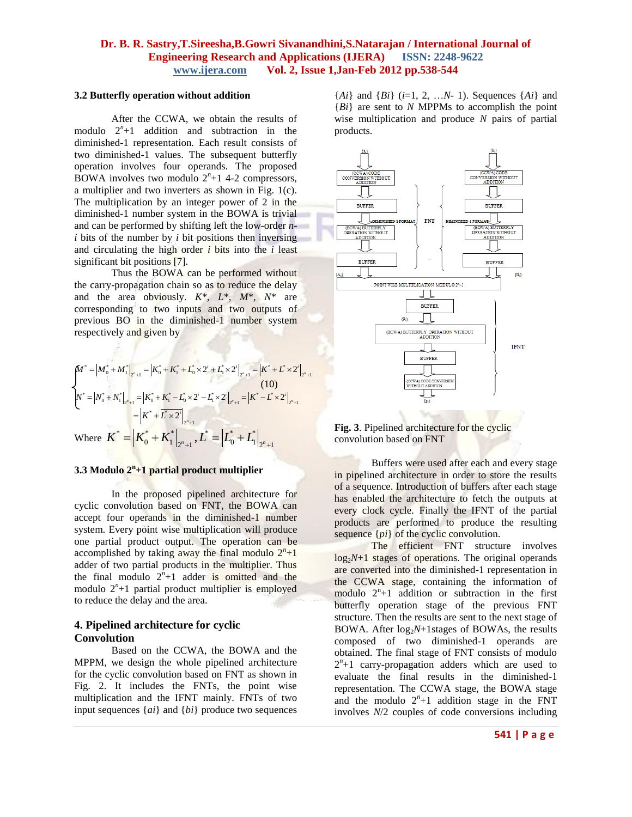#### **3.2 Butterfly operation without addition**

After the CCWA, we obtain the results of modulo 2*<sup>n</sup>* +1 addition and subtraction in the diminished-1 representation. Each result consists of two diminished-1 values. The subsequent butterfly operation involves four operands. The proposed BOWA involves two modulo  $2<sup>n</sup>+1$  4-2 compressors, a multiplier and two inverters as shown in Fig. 1(c). The multiplication by an integer power of 2 in the diminished-1 number system in the BOWA is trivial and can be performed by shifting left the low-order *ni* bits of the number by *i* bit positions then inversing and circulating the high order *i* bits into the *i* least significant bit positions [7].

Thus the BOWA can be performed without the carry-propagation chain so as to reduce the delay and the area obviously. *K*\*, *L*\*, *M*\*, *N*\* are corresponding to two inputs and two outputs of previous BO in the diminished-1 number system respectively and given by

$$
\begin{aligned}\nM^* &= \left| M_0^* + M_1^* \right|_{2^{n}+1} = \left| K_0^* + K_1^* + L_0^* \times 2^i + L_1^* \times 2^i \right|_{2^{n}+1} = \left| K^* + L^* \times 2^i \right|_{2^{n}+1} \\
M^* &= \left| N_0^* + N_1^* \right|_{2^{n}+1} = \left| K_0^* + K_1^* - L_0^* \times 2^i - L_1^* \times 2^i \right|_{2^{n}+1} = \left| K^* - L^* \times 2^i \right|_{2^{n}+1} \\
&= \left| K^* + L^* \times 2^i \right|_{2^{n}+1}, \\
\text{Where } K^* &= \left| K_0^* + K_1^* \right|_{2^{n}+1}, L^* &= \left| L_0^* + L_1^* \right|_{2^{n}+1}\n\end{aligned}
$$

## **3.3 Modulo 2<sup>n</sup> +1 partial product multiplier**

In the proposed pipelined architecture for cyclic convolution based on FNT, the BOWA can accept four operands in the diminished-1 number system. Every point wise multiplication will produce one partial product output. The operation can be accomplished by taking away the final modulo  $2^n + 1$ adder of two partial products in the multiplier. Thus the final modulo  $2^n + 1$  adder is omitted and the modulo 2*<sup>n</sup>* +1 partial product multiplier is employed to reduce the delay and the area.

## **4. Pipelined architecture for cyclic Convolution**

Based on the CCWA, the BOWA and the MPPM, we design the whole pipelined architecture for the cyclic convolution based on FNT as shown in Fig. 2. It includes the FNTs, the point wise multiplication and the IFNT mainly. FNTs of two input sequences {*ai*} and {*bi*} produce two sequences  ${Ai}$  and  ${Bi}$  (*i*=1, 2, ... *N*- 1). Sequences  ${Ai}$  and {*Bi*} are sent to *N* MPPMs to accomplish the point wise multiplication and produce *N* pairs of partial products.



**Fig. 3**. Pipelined architecture for the cyclic convolution based on FNT

Buffers were used after each and every stage in pipelined architecture in order to store the results of a sequence. Introduction of buffers after each stage has enabled the architecture to fetch the outputs at every clock cycle. Finally the IFNT of the partial products are performed to produce the resulting sequence {*pi*} of the cyclic convolution.

The efficient FNT structure involves  $log_2N+1$  stages of operations. The original operands are converted into the diminished-1 representation in the CCWA stage, containing the information of modulo  $2^{n}+1$  addition or subtraction in the first butterfly operation stage of the previous FNT structure. Then the results are sent to the next stage of BOWA. After  $log_2N+1$  stages of BOWAs, the results composed of two diminished-1 operands are obtained. The final stage of FNT consists of modulo  $2<sup>n</sup>+1$  carry-propagation adders which are used to evaluate the final results in the diminished-1 representation. The CCWA stage, the BOWA stage and the modulo  $2<sup>n</sup>+1$  addition stage in the FNT involves *N*/2 couples of code conversions including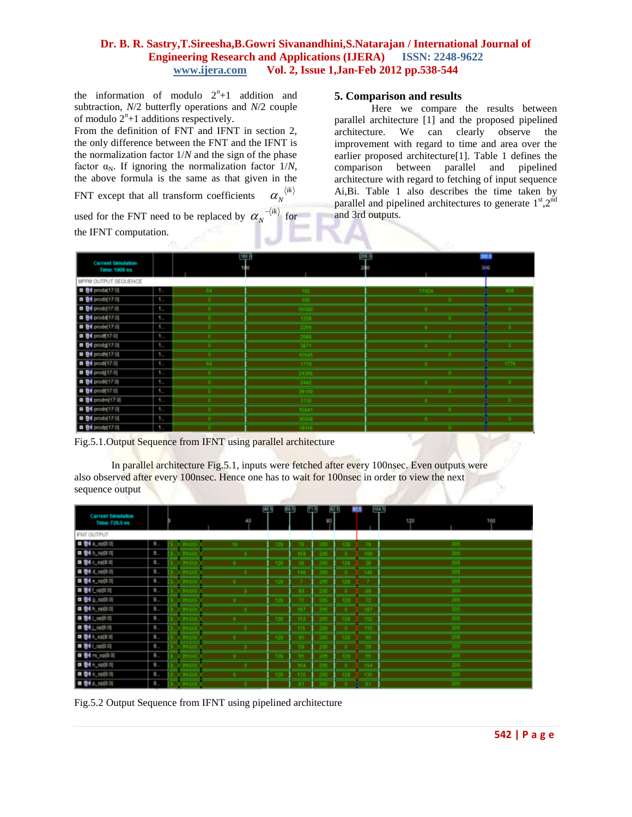the information of modulo  $2^n+1$  addition and subtraction, *N*/2 butterfly operations and *N*/2 couple of modulo  $2^n+1$  additions respectively.

From the definition of FNT and IFNT in section 2, the only difference between the FNT and the IFNT is the normalization factor 1/*N* and the sign of the phase factor  $\alpha_N$ . If ignoring the normalization factor  $1/N$ , the above formula is the same as that given in the

FNT except that all transform coefficients  $\alpha_N^{(ik)}$ 

used for the FNT need to be replaced by  $\alpha_N^{-\langle i k \rangle}$  for the IFNT computation.

## **5. Comparison and results**

Here we compare the results between parallel architecture [1] and the proposed pipelined architecture. We can clearly observe the improvement with regard to time and area over the earlier proposed architecture[1]. Table 1 defines the comparison between parallel and pipelined architecture with regard to fetching of input sequence Ai,Bi. Table 1 also describes the time taken by parallel and pipelined architectures to generate  $1<sup>st</sup>,2<sup>nd</sup>$ and 3rd outputs.

| <b>Current Simulation</b><br>Time: 1000 ns |       |     | 100.0<br>100 |            | 200.0<br>250 |       | 300.D<br>300 |              |
|--------------------------------------------|-------|-----|--------------|------------|--------------|-------|--------------|--------------|
| MPPM OUTPUT SEQUENCE                       |       |     |              |            |              |       |              |              |
| $\Box$ $\Box$ $\Box$ $\Box$                | 1     | 64  |              | 102        |              | 17424 |              | 408          |
| <b>B</b> <i>Di</i> prodb[17.0]             | $1 -$ |     |              |            |              |       |              |              |
| <b>B B</b> prodc[17.0]                     | 1     |     |              | <b>KAR</b> |              |       |              |              |
| <b>B</b> <i><b>D</b></i> prodd(17:0)       | 1.    |     |              | 1258       |              |       |              |              |
| <b>0 @4</b> prode[17:0]                    | 1.    |     |              | 2256       |              |       |              |              |
| <b>0 @</b> prod[17.0]                      | $1 -$ |     |              | 2688       |              |       |              |              |
| <b>B B4</b> prodg(17.0)                    | 1     |     |              | 3871       |              |       |              | $\mathbf{a}$ |
| <b>0 04 prodh(17:0)</b>                    | 1     |     |              | 10545      |              |       |              |              |
| <b>0 @4</b> prod(17:0)                     | 1.    | 64  |              | 1776       |              |       |              | 1776         |
| <b>0 M</b> prod(17.0)                      | $1 -$ |     |              | 24366      |              |       |              |              |
| <b>B B4</b> prodk[17:0]                    | 1     |     |              | 2442       |              |       |              |              |
| <b>B</b> <i>BA</i> prod(17:0)              | 1.    |     |              | 39160      |              |       |              |              |
| <b>B D</b> prodm(17.0)                     | 1     |     |              | 3135       |              |       |              |              |
| <b>日 图 prodn(17:0)</b>                     | $1 -$ |     |              | 15041      |              |       |              |              |
| <b>B D</b> prodo(17.0)                     | 1     | -0- |              | 36600      |              | л.    |              |              |
| <b>O</b> Morodol17.01                      | ٠     |     |              | 10116      |              |       |              |              |

Fig.5.1.Output Sequence from IFNT using parallel architecture

In parallel architecture Fig.5.1, inputs were fetched after every 100nsec. Even outputs were also observed after every 100nsec. Hence one has to wait for 100nsec in order to view the next sequence output

| <b>Current Simulation</b> |       |              |              | 49.5 | 60.5 | 71.5 | 82.5 |     | 104.5      |
|---------------------------|-------|--------------|--------------|------|------|------|------|-----|------------|
| <b>Time: 720.5 ns</b>     |       |              | 40           |      |      | 80   |      |     | 120<br>160 |
| <b>IFNT OUTPUT</b>        |       |              |              |      |      |      |      |     |            |
| 日 图 8.00(8:0)             | 9.    | <b>THREE</b> | 16           | 12   | 78   | 205  | 128  | 78  | 205        |
| <b>B 84</b> b_op(8:0)     | $9 -$ |              | о.           |      |      |      |      |     | 205        |
| <b>B B C_op(8.0)</b>      | 9.    |              |              |      |      |      | 12   |     | 205        |
| <b>B 84 d_op(8:0)</b>     | 9.    |              | $\mathbf{0}$ |      | 145  |      | n.   | 145 | 205        |
| <b>B B4</b> e_op(8:0)     | 9.    |              |              | 129  | 7.   | 205  | 128  |     | 205        |
| <b>B 84 (Lop(8:0)</b>     | 9.,   |              | $\mathbf{0}$ |      | 89   | 205  |      |     | 205        |
| <b>B 84 a_op(8.0)</b>     | 9.    |              |              |      | 72.  |      | 42   | 72  | 205        |
| <b>0 84 h_op(8:0)</b>     | 9.    |              | п.           |      | 187  | 20   |      | 187 | 205        |
|                           | 9.    |              |              |      | 152  |      |      | 182 | 205        |
| <b>D BM</b> Lop(8:0)      | 9.    |              |              |      | 115  |      |      | 115 | 205        |
| <b>B B4</b> K_op(8.0)     | 9.,   |              |              |      |      |      | 12   |     | 205        |
| <b>D B4</b> 1_op(8:0)     | 9.,   |              |              |      |      |      |      |     | 205        |
| <b>日 图 m_op(8:0)</b>      | $9 -$ |              |              |      |      |      |      |     | 205        |
| <b>D B4</b> n_op(it 0)    | 9     |              |              |      | 154  |      |      | 154 | 205        |
| <b>B B40_00(8.0)</b>      | $9 -$ |              |              |      | 136  |      |      |     | 205        |
| <b>B B4 D_00(8:0)</b>     | 0.    |              |              |      | 81   |      |      |     | 205        |

Fig.5.2 Output Sequence from IFNT using pipelined architecture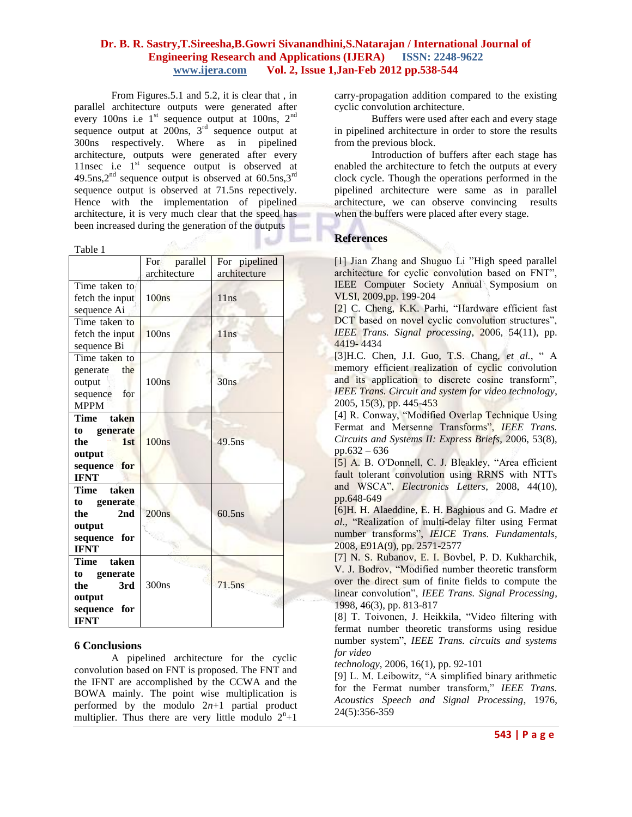tí.

From Figures.5.1 and 5.2, it is clear that , in parallel architecture outputs were generated after every 100ns i.e  $1<sup>st</sup>$  sequence output at 100ns,  $2<sup>nd</sup>$ sequence output at  $200$ ns,  $3<sup>rd</sup>$  sequence output at 300ns respectively. Where as in pipelined architecture, outputs were generated after every 11nsec i.e.  $1<sup>st</sup>$  sequence output is observed at  $49.5$ ns, $2<sup>nd</sup>$  sequence output is observed at 60.5ns, $3<sup>rd</sup>$ sequence output is observed at 71.5ns repectively. Hence with the implementation of pipelined architecture, it is very much clear that the speed has been increased during the generation of the outputs

| ۰.<br>×<br>۰.<br>I |  |
|--------------------|--|
|--------------------|--|

|                   | For parallel<br>architecture | For pipelined<br>architecture |  |  |
|-------------------|------------------------------|-------------------------------|--|--|
| Time taken to     |                              |                               |  |  |
| fetch the input   | 100ns                        | 11ns                          |  |  |
| sequence Ai       |                              |                               |  |  |
| Time taken to     |                              |                               |  |  |
|                   | 100ns                        | 11ns                          |  |  |
| fetch the input   |                              |                               |  |  |
| sequence Bi       |                              |                               |  |  |
| Time taken to     |                              |                               |  |  |
| the<br>generate   |                              |                               |  |  |
| output            | 100ns                        | 30ns                          |  |  |
| sequence for      |                              |                               |  |  |
| <b>MPPM</b>       |                              |                               |  |  |
| taken<br>Time     |                              |                               |  |  |
| to generate       |                              |                               |  |  |
| 1st<br>the        | 100ns                        | $49.5$ ns                     |  |  |
| output            |                              |                               |  |  |
|                   |                              |                               |  |  |
| sequence for      |                              |                               |  |  |
| <b>IFNT</b>       |                              |                               |  |  |
| Time<br>taken     |                              |                               |  |  |
| generate<br>to to |                              |                               |  |  |
| 2nd<br>the        | 200ns                        | $60.5$ ns                     |  |  |
| output            |                              |                               |  |  |
| sequence for      |                              |                               |  |  |
| <b>IFNT</b>       |                              |                               |  |  |
| Time<br>taken     |                              |                               |  |  |
| to to<br>generate |                              |                               |  |  |
| the<br>3rd        | 300ns                        | 71.5ns                        |  |  |
| output            |                              |                               |  |  |
| for               |                              |                               |  |  |
| sequence          |                              |                               |  |  |
| <b>IFNT</b>       |                              |                               |  |  |

## **6 Conclusions**

A pipelined architecture for the cyclic convolution based on FNT is proposed. The FNT and the IFNT are accomplished by the CCWA and the BOWA mainly. The point wise multiplication is performed by the modulo 2*n*+1 partial product multiplier. Thus there are very little modulo  $2^n + 1$  carry-propagation addition compared to the existing cyclic convolution architecture.

Buffers were used after each and every stage in pipelined architecture in order to store the results from the previous block.

Introduction of buffers after each stage has enabled the architecture to fetch the outputs at every clock cycle. Though the operations performed in the pipelined architecture were same as in parallel architecture, we can observe convincing results when the buffers were placed after every stage.

## **References**

[1] Jian Zhang and Shuguo Li "High speed parallel architecture for cyclic convolution based on FNT", IEEE Computer Society Annual Symposium on VLSI, 2009,pp. 199-204

[2] C. Cheng, K.K. Parhi, "Hardware efficient fast DCT based on novel cyclic convolution structures", *IEEE Trans. Signal processing*, 2006, 54(11), pp. 4419- 4434

[3]H.C. Chen, J.I. Guo, T.S. Chang, *et al.*, " A memory efficient realization of cyclic convolution and its application to discrete cosine transform", *IEEE Trans. Circuit and system for video technology*, 2005, 15(3), pp. 445-453

[4] R. Conway, "Modified Overlap Technique Using Fermat and Mersenne Transforms", *IEEE Trans. Circuits and Systems II: Express Briefs*, 2006, 53(8), pp.632 – 636

[5] A. B. O'Donnell, C. J. Bleakley, "Area efficient fault tolerant convolution using RRNS with NTTs and WSCA", *Electronics Letters*, 2008, 44(10), pp.648-649

[6]H. H. Alaeddine, E. H. Baghious and G. Madre *et al*., "Realization of multi-delay filter using Fermat number transforms", *IEICE Trans. Fundamentals*, 2008, E91A(9), pp. 2571-2577

[7] N. S. Rubanov, E. I. Bovbel, P. D. Kukharchik, V. J. Bodrov, "Modified number theoretic transform over the direct sum of finite fields to compute the linear convolution", *IEEE Trans. Signal Processing*, 1998, 46(3), pp. 813-817

[8] T. Toivonen, J. Heikkila, "Video filtering with fermat number theoretic transforms using residue number system", *IEEE Trans. circuits and systems for video*

*technology*, 2006, 16(1), pp. 92-101

[9] L. M. Leibowitz, "A simplified binary arithmetic for the Fermat number transform," *IEEE Trans. Acoustics Speech and Signal Processing*, 1976, 24(5):356-359